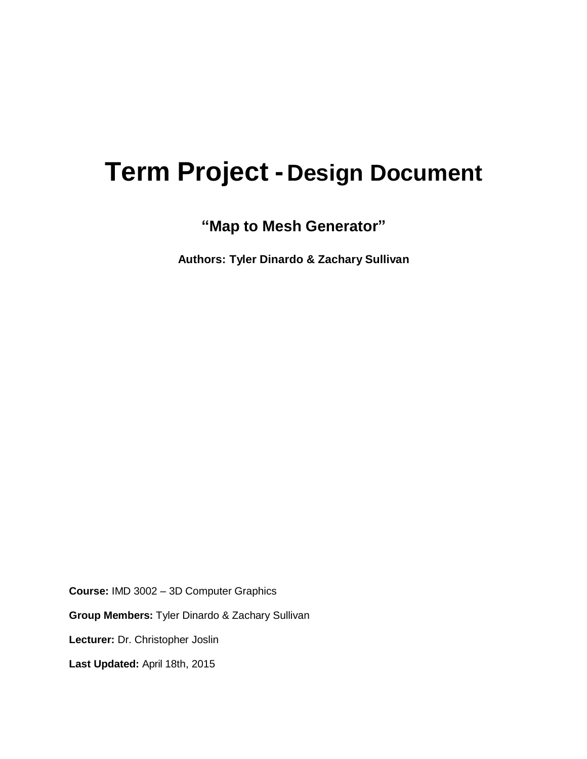# **Term Project -Design Document**

**"Map to Mesh Generator"**

**Authors: Tyler Dinardo & Zachary Sullivan**

**Course:** IMD 3002 – 3D Computer Graphics

**Group Members:** Tyler Dinardo & Zachary Sullivan

**Lecturer:** Dr. Christopher Joslin

**Last Updated:** April 18th, 2015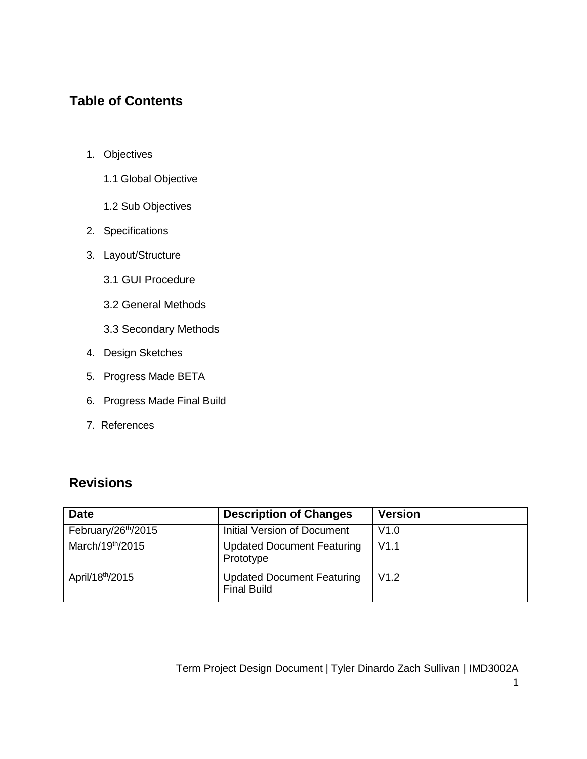### **Table of Contents**

- 1. Objectives
	- 1.1 Global Objective
	- 1.2 Sub Objectives
- 2. Specifications
- 3. Layout/Structure
	- 3.1 GUI Procedure
	- 3.2 General Methods
	- 3.3 Secondary Methods
- 4. Design Sketches
- 5. Progress Made BETA
- 6. Progress Made Final Build
- 7. References

# **Revisions**

| <b>Date</b>                     | <b>Description of Changes</b>                           | <b>Version</b> |
|---------------------------------|---------------------------------------------------------|----------------|
| February/26 <sup>th</sup> /2015 | Initial Version of Document                             | V1.0           |
| March/19th/2015                 | <b>Updated Document Featuring</b><br>Prototype          | V1.1           |
| April/18 <sup>th</sup> /2015    | <b>Updated Document Featuring</b><br><b>Final Build</b> | V1.2           |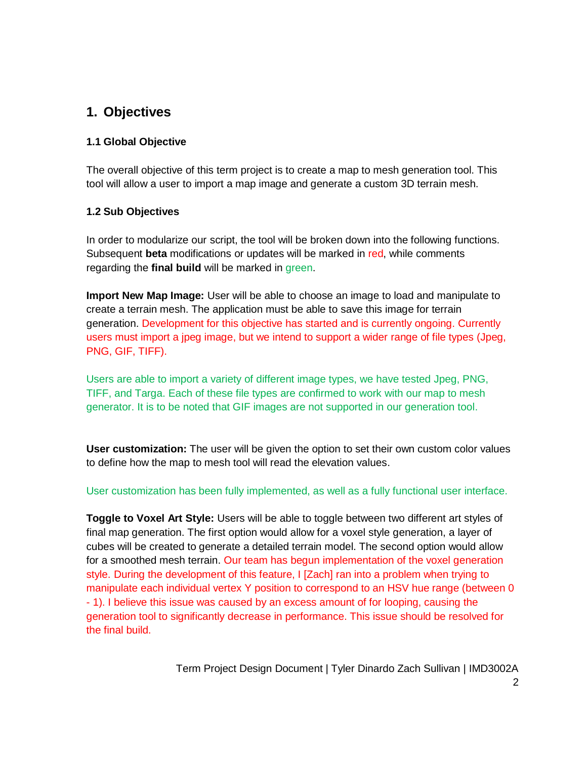### **1. Objectives**

### **1.1 Global Objective**

The overall objective of this term project is to create a map to mesh generation tool. This tool will allow a user to import a map image and generate a custom 3D terrain mesh.

### **1.2 Sub Objectives**

In order to modularize our script, the tool will be broken down into the following functions. Subsequent **beta** modifications or updates will be marked in red, while comments regarding the **final build** will be marked in green.

**Import New Map Image:** User will be able to choose an image to load and manipulate to create a terrain mesh. The application must be able to save this image for terrain generation. Development for this objective has started and is currently ongoing. Currently users must import a jpeg image, but we intend to support a wider range of file types (Jpeg, PNG, GIF, TIFF).

Users are able to import a variety of different image types, we have tested Jpeg, PNG, TIFF, and Targa. Each of these file types are confirmed to work with our map to mesh generator. It is to be noted that GIF images are not supported in our generation tool.

**User customization:** The user will be given the option to set their own custom color values to define how the map to mesh tool will read the elevation values.

User customization has been fully implemented, as well as a fully functional user interface.

**Toggle to Voxel Art Style:** Users will be able to toggle between two different art styles of final map generation. The first option would allow for a voxel style generation, a layer of cubes will be created to generate a detailed terrain model. The second option would allow for a smoothed mesh terrain. Our team has begun implementation of the voxel generation style. During the development of this feature, I [Zach] ran into a problem when trying to manipulate each individual vertex Y position to correspond to an HSV hue range (between 0 - 1). I believe this issue was caused by an excess amount of for looping, causing the generation tool to significantly decrease in performance. This issue should be resolved for the final build.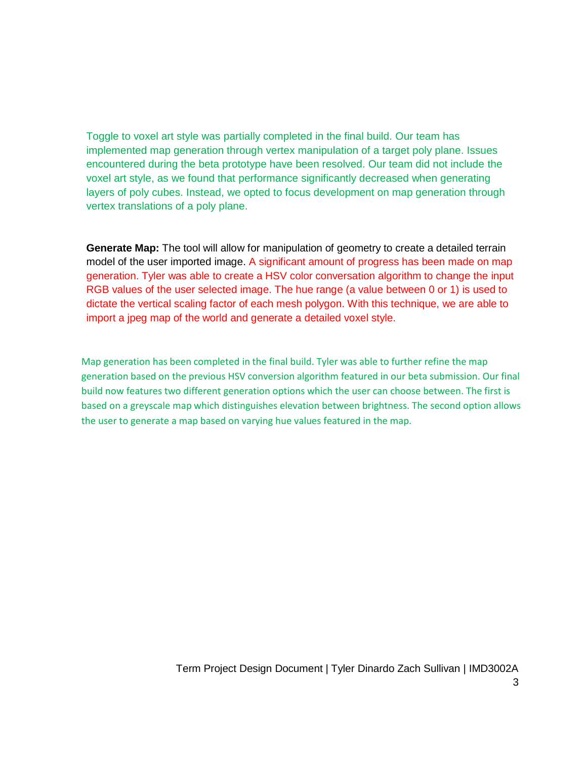Toggle to voxel art style was partially completed in the final build. Our team has implemented map generation through vertex manipulation of a target poly plane. Issues encountered during the beta prototype have been resolved. Our team did not include the voxel art style, as we found that performance significantly decreased when generating layers of poly cubes. Instead, we opted to focus development on map generation through vertex translations of a poly plane.

**Generate Map:** The tool will allow for manipulation of geometry to create a detailed terrain model of the user imported image. A significant amount of progress has been made on map generation. Tyler was able to create a HSV color conversation algorithm to change the input RGB values of the user selected image. The hue range (a value between 0 or 1) is used to dictate the vertical scaling factor of each mesh polygon. With this technique, we are able to import a jpeg map of the world and generate a detailed voxel style.

Map generation has been completed in the final build. Tyler was able to further refine the map generation based on the previous HSV conversion algorithm featured in our beta submission. Our final build now features two different generation options which the user can choose between. The first is based on a greyscale map which distinguishes elevation between brightness. The second option allows the user to generate a map based on varying hue values featured in the map.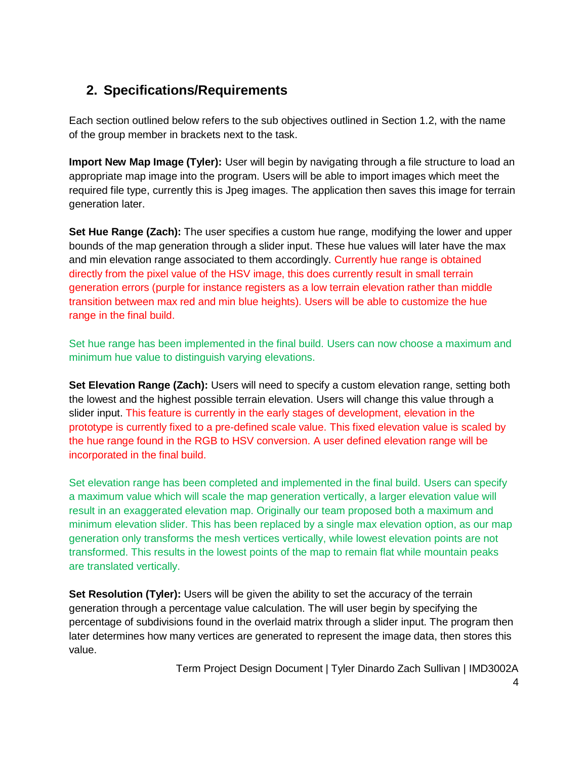# **2. Specifications/Requirements**

Each section outlined below refers to the sub objectives outlined in Section 1.2, with the name of the group member in brackets next to the task.

**Import New Map Image (Tyler):** User will begin by navigating through a file structure to load an appropriate map image into the program. Users will be able to import images which meet the required file type, currently this is Jpeg images. The application then saves this image for terrain generation later.

**Set Hue Range (Zach):** The user specifies a custom hue range, modifying the lower and upper bounds of the map generation through a slider input. These hue values will later have the max and min elevation range associated to them accordingly. Currently hue range is obtained directly from the pixel value of the HSV image, this does currently result in small terrain generation errors (purple for instance registers as a low terrain elevation rather than middle transition between max red and min blue heights). Users will be able to customize the hue range in the final build.

Set hue range has been implemented in the final build. Users can now choose a maximum and minimum hue value to distinguish varying elevations.

**Set Elevation Range (Zach):** Users will need to specify a custom elevation range, setting both the lowest and the highest possible terrain elevation. Users will change this value through a slider input. This feature is currently in the early stages of development, elevation in the prototype is currently fixed to a pre-defined scale value. This fixed elevation value is scaled by the hue range found in the RGB to HSV conversion. A user defined elevation range will be incorporated in the final build.

Set elevation range has been completed and implemented in the final build. Users can specify a maximum value which will scale the map generation vertically, a larger elevation value will result in an exaggerated elevation map. Originally our team proposed both a maximum and minimum elevation slider. This has been replaced by a single max elevation option, as our map generation only transforms the mesh vertices vertically, while lowest elevation points are not transformed. This results in the lowest points of the map to remain flat while mountain peaks are translated vertically.

**Set Resolution (Tyler):** Users will be given the ability to set the accuracy of the terrain generation through a percentage value calculation. The will user begin by specifying the percentage of subdivisions found in the overlaid matrix through a slider input. The program then later determines how many vertices are generated to represent the image data, then stores this value.

Term Project Design Document | Tyler Dinardo Zach Sullivan | IMD3002A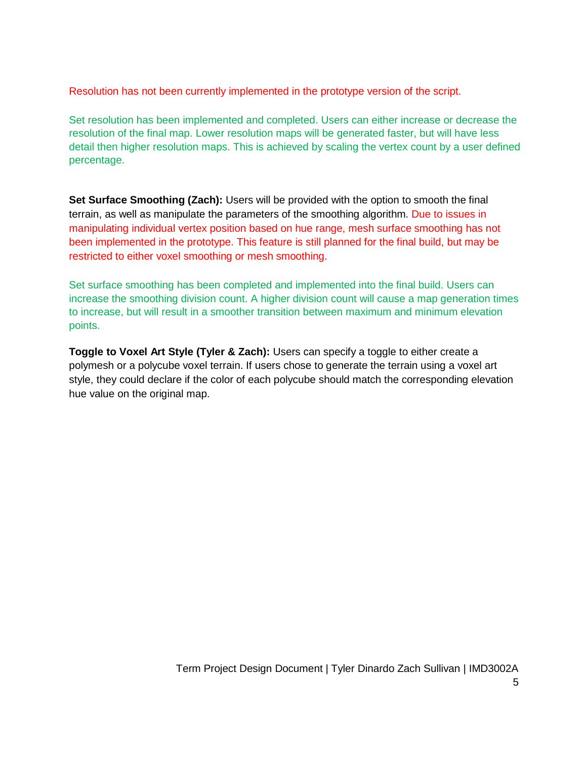Resolution has not been currently implemented in the prototype version of the script.

Set resolution has been implemented and completed. Users can either increase or decrease the resolution of the final map. Lower resolution maps will be generated faster, but will have less detail then higher resolution maps. This is achieved by scaling the vertex count by a user defined percentage.

**Set Surface Smoothing (Zach):** Users will be provided with the option to smooth the final terrain, as well as manipulate the parameters of the smoothing algorithm. Due to issues in manipulating individual vertex position based on hue range, mesh surface smoothing has not been implemented in the prototype. This feature is still planned for the final build, but may be restricted to either voxel smoothing or mesh smoothing.

Set surface smoothing has been completed and implemented into the final build. Users can increase the smoothing division count. A higher division count will cause a map generation times to increase, but will result in a smoother transition between maximum and minimum elevation points.

**Toggle to Voxel Art Style (Tyler & Zach):** Users can specify a toggle to either create a polymesh or a polycube voxel terrain. If users chose to generate the terrain using a voxel art style, they could declare if the color of each polycube should match the corresponding elevation hue value on the original map.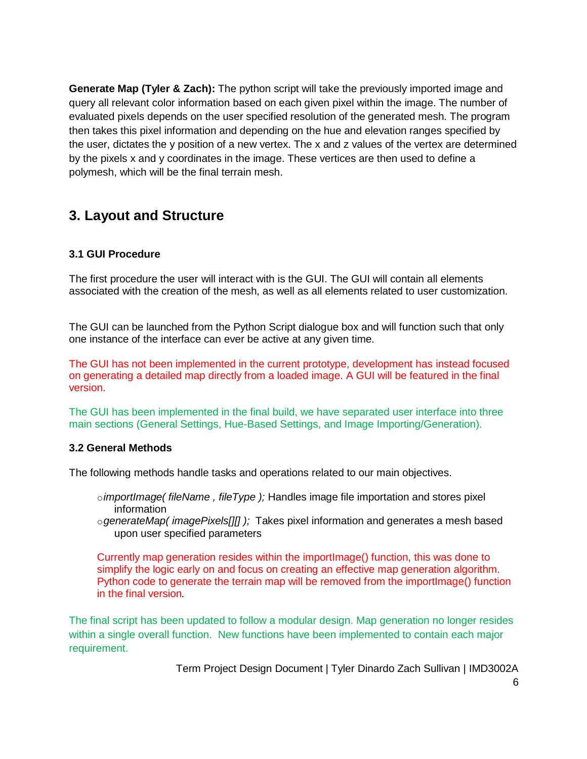**Generate Map (Tyler & Zach):** The python script will take the previously imported image and query all relevant color information based on each given pixel within the image. The number of evaluated pixels depends on the user specified resolution of the generated mesh. The program then takes this pixel information and depending on the hue and elevation ranges specified by the user, dictates the y position of a new vertex. The x and z values of the vertex are determined by the pixels x and y coordinates in the image. These vertices are then used to define a polymesh, which will be the final terrain mesh.

# **3. Layout and Structure**

### **3.1 GUI Procedure**

The first procedure the user will interact with is the GUI. The GUI will contain all elements associated with the creation of the mesh, as well as all elements related to user customization.

The GUI can be launched from the Python Script dialogue box and will function such that only one instance of the interface can ever be active at any given time.

The GUI has not been implemented in the current prototype, development has instead focused on generating a detailed map directly from a loaded image. A GUI will be featured in the final version.

The GUI has been implemented in the final build, we have separated user interface into three main sections (General Settings, Hue-Based Settings, and Image Importing/Generation).

#### **3.2 General Methods**

The following methods handle tasks and operations related to our main objectives.

- o*importImage( fileName , fileType );* Handles image file importation and stores pixel information
- o*generateMap( imagePixels[][] );* Takes pixel information and generates a mesh based upon user specified parameters

Currently map generation resides within the importImage() function, this was done to simplify the logic early on and focus on creating an effective map generation algorithm. Python code to generate the terrain map will be removed from the importImage() function in the final version*.*

The final script has been updated to follow a modular design. Map generation no longer resides within a single overall function. New functions have been implemented to contain each major requirement.

Term Project Design Document | Tyler Dinardo Zach Sullivan | IMD3002A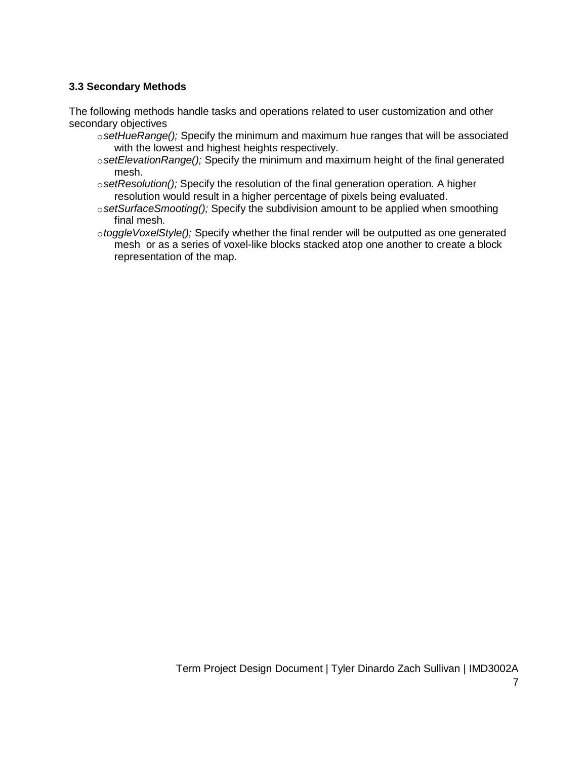### **3.3 Secondary Methods**

The following methods handle tasks and operations related to user customization and other secondary objectives

- o*setHueRange();* Specify the minimum and maximum hue ranges that will be associated with the lowest and highest heights respectively.
- o*setElevationRange();* Specify the minimum and maximum height of the final generated mesh.
- o*setResolution();* Specify the resolution of the final generation operation. A higher resolution would result in a higher percentage of pixels being evaluated.
- o*setSurfaceSmooting();* Specify the subdivision amount to be applied when smoothing final mesh.
- o*toggleVoxelStyle();* Specify whether the final render will be outputted as one generated mesh or as a series of voxel-like blocks stacked atop one another to create a block representation of the map.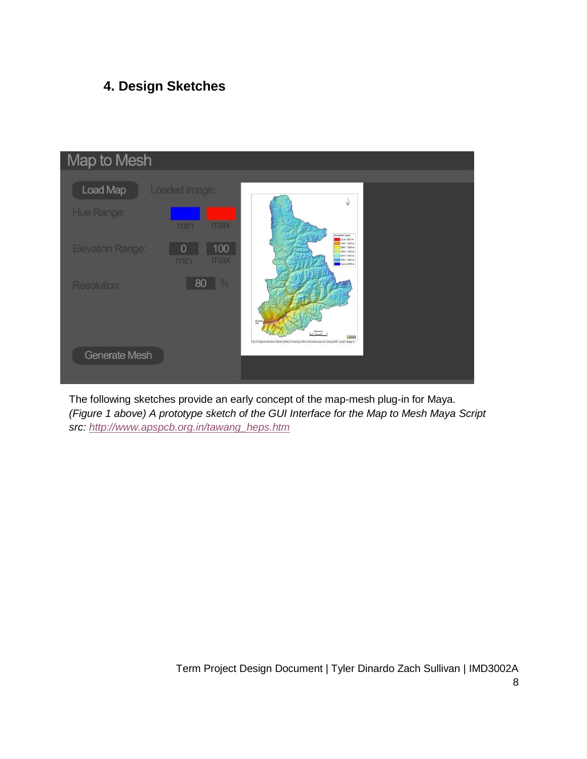# **4. Design Sketches**



The following sketches provide an early concept of the map-mesh plug-in for Maya. *(Figure 1 above) A prototype sketch of the GUI Interface for the Map to Mesh Maya Script src: [http://www.apspcb.org.in/tawang\\_heps.htm](http://www.apspcb.org.in/tawang_heps.htm)*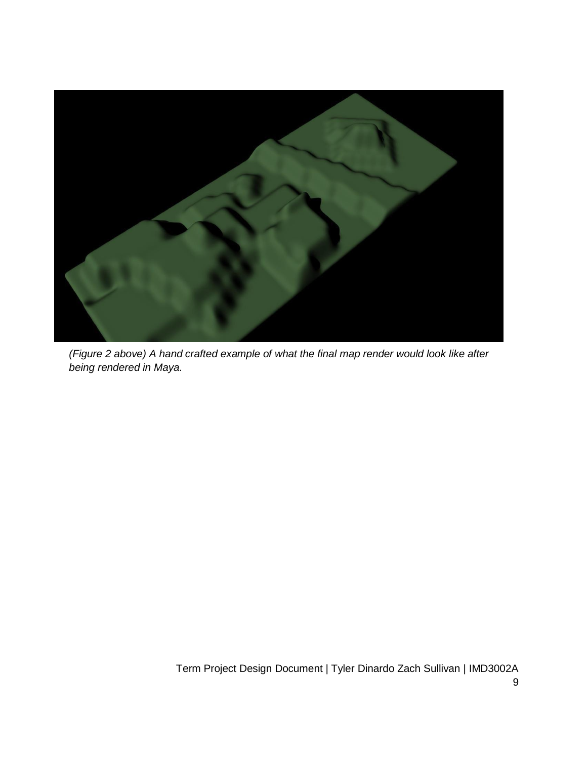

*(Figure 2 above) A hand crafted example of what the final map render would look like after being rendered in Maya.*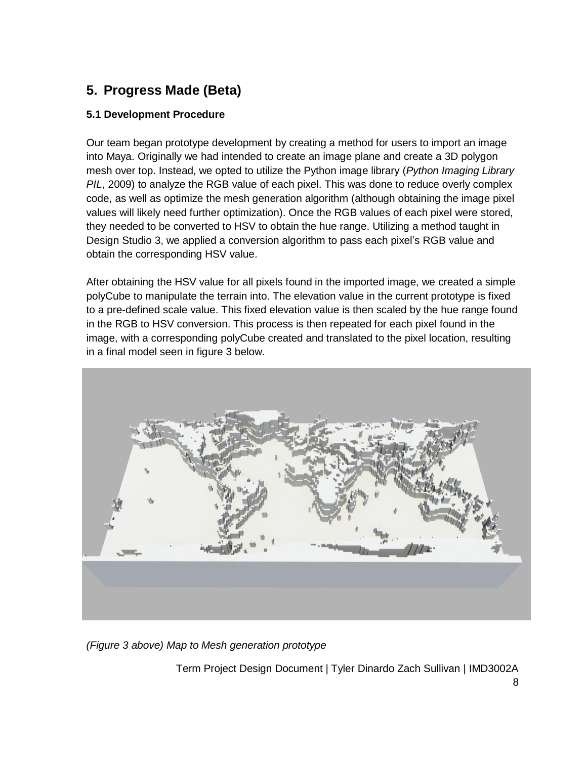# **5. Progress Made (Beta)**

### **5.1 Development Procedure**

Our team began prototype development by creating a method for users to import an image into Maya. Originally we had intended to create an image plane and create a 3D polygon mesh over top. Instead, we opted to utilize the Python image library (*Python Imaging Library PIL*, 2009) to analyze the RGB value of each pixel. This was done to reduce overly complex code, as well as optimize the mesh generation algorithm (although obtaining the image pixel values will likely need further optimization). Once the RGB values of each pixel were stored, they needed to be converted to HSV to obtain the hue range. Utilizing a method taught in Design Studio 3, we applied a conversion algorithm to pass each pixel's RGB value and obtain the corresponding HSV value.

After obtaining the HSV value for all pixels found in the imported image, we created a simple polyCube to manipulate the terrain into. The elevation value in the current prototype is fixed to a pre-defined scale value. This fixed elevation value is then scaled by the hue range found in the RGB to HSV conversion. This process is then repeated for each pixel found in the image, with a corresponding polyCube created and translated to the pixel location, resulting in a final model seen in figure 3 below.



*(Figure 3 above) Map to Mesh generation prototype*

Term Project Design Document | Tyler Dinardo Zach Sullivan | IMD3002A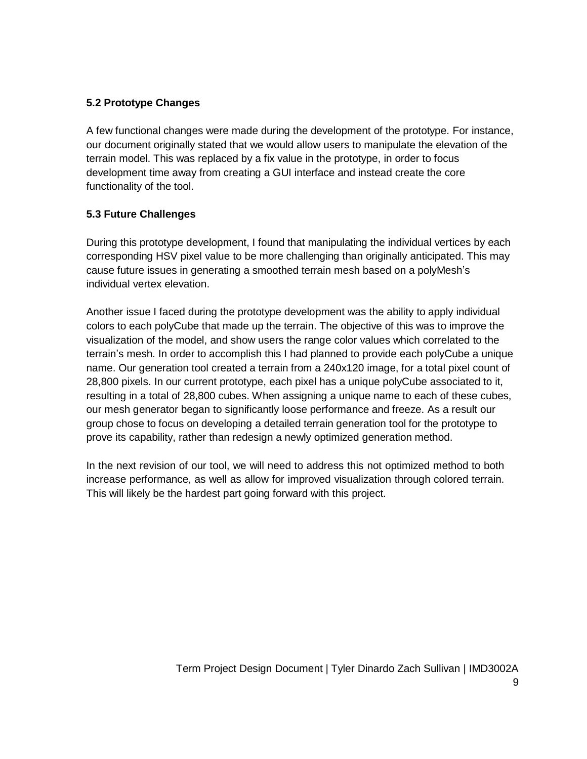### **5.2 Prototype Changes**

A few functional changes were made during the development of the prototype. For instance, our document originally stated that we would allow users to manipulate the elevation of the terrain model. This was replaced by a fix value in the prototype, in order to focus development time away from creating a GUI interface and instead create the core functionality of the tool.

### **5.3 Future Challenges**

During this prototype development, I found that manipulating the individual vertices by each corresponding HSV pixel value to be more challenging than originally anticipated. This may cause future issues in generating a smoothed terrain mesh based on a polyMesh's individual vertex elevation.

Another issue I faced during the prototype development was the ability to apply individual colors to each polyCube that made up the terrain. The objective of this was to improve the visualization of the model, and show users the range color values which correlated to the terrain's mesh. In order to accomplish this I had planned to provide each polyCube a unique name. Our generation tool created a terrain from a 240x120 image, for a total pixel count of 28,800 pixels. In our current prototype, each pixel has a unique polyCube associated to it, resulting in a total of 28,800 cubes. When assigning a unique name to each of these cubes, our mesh generator began to significantly loose performance and freeze. As a result our group chose to focus on developing a detailed terrain generation tool for the prototype to prove its capability, rather than redesign a newly optimized generation method.

In the next revision of our tool, we will need to address this not optimized method to both increase performance, as well as allow for improved visualization through colored terrain. This will likely be the hardest part going forward with this project.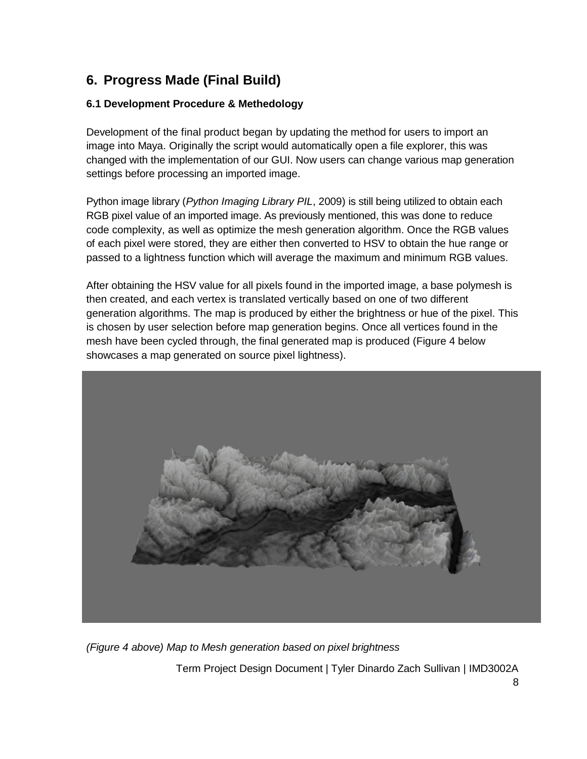# **6. Progress Made (Final Build)**

### **6.1 Development Procedure & Methedology**

Development of the final product began by updating the method for users to import an image into Maya. Originally the script would automatically open a file explorer, this was changed with the implementation of our GUI. Now users can change various map generation settings before processing an imported image.

Python image library (*Python Imaging Library PIL*, 2009) is still being utilized to obtain each RGB pixel value of an imported image. As previously mentioned, this was done to reduce code complexity, as well as optimize the mesh generation algorithm. Once the RGB values of each pixel were stored, they are either then converted to HSV to obtain the hue range or passed to a lightness function which will average the maximum and minimum RGB values.

After obtaining the HSV value for all pixels found in the imported image, a base polymesh is then created, and each vertex is translated vertically based on one of two different generation algorithms. The map is produced by either the brightness or hue of the pixel. This is chosen by user selection before map generation begins. Once all vertices found in the mesh have been cycled through, the final generated map is produced (Figure 4 below showcases a map generated on source pixel lightness).



Term Project Design Document | Tyler Dinardo Zach Sullivan | IMD3002A *(Figure 4 above) Map to Mesh generation based on pixel brightness*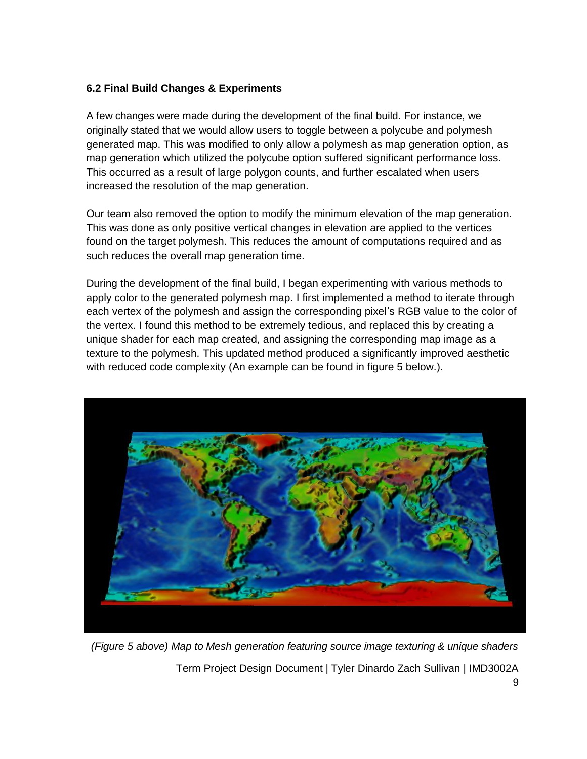#### **6.2 Final Build Changes & Experiments**

A few changes were made during the development of the final build. For instance, we originally stated that we would allow users to toggle between a polycube and polymesh generated map. This was modified to only allow a polymesh as map generation option, as map generation which utilized the polycube option suffered significant performance loss. This occurred as a result of large polygon counts, and further escalated when users increased the resolution of the map generation.

Our team also removed the option to modify the minimum elevation of the map generation. This was done as only positive vertical changes in elevation are applied to the vertices found on the target polymesh. This reduces the amount of computations required and as such reduces the overall map generation time.

During the development of the final build, I began experimenting with various methods to apply color to the generated polymesh map. I first implemented a method to iterate through each vertex of the polymesh and assign the corresponding pixel's RGB value to the color of the vertex. I found this method to be extremely tedious, and replaced this by creating a unique shader for each map created, and assigning the corresponding map image as a texture to the polymesh. This updated method produced a significantly improved aesthetic with reduced code complexity (An example can be found in figure 5 below.).



Term Project Design Document | Tyler Dinardo Zach Sullivan | IMD3002A 9 *(Figure 5 above) Map to Mesh generation featuring source image texturing & unique shaders*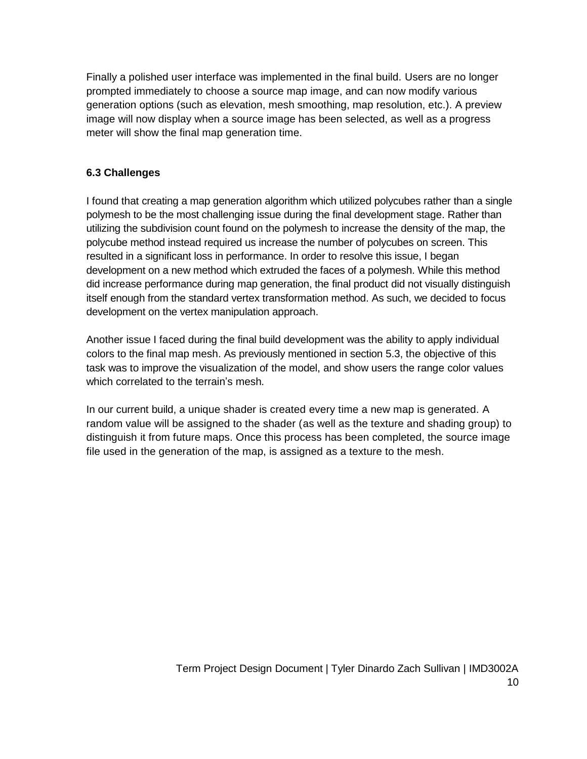Finally a polished user interface was implemented in the final build. Users are no longer prompted immediately to choose a source map image, and can now modify various generation options (such as elevation, mesh smoothing, map resolution, etc.). A preview image will now display when a source image has been selected, as well as a progress meter will show the final map generation time.

### **6.3 Challenges**

I found that creating a map generation algorithm which utilized polycubes rather than a single polymesh to be the most challenging issue during the final development stage. Rather than utilizing the subdivision count found on the polymesh to increase the density of the map, the polycube method instead required us increase the number of polycubes on screen. This resulted in a significant loss in performance. In order to resolve this issue, I began development on a new method which extruded the faces of a polymesh. While this method did increase performance during map generation, the final product did not visually distinguish itself enough from the standard vertex transformation method. As such, we decided to focus development on the vertex manipulation approach.

Another issue I faced during the final build development was the ability to apply individual colors to the final map mesh. As previously mentioned in section 5.3, the objective of this task was to improve the visualization of the model, and show users the range color values which correlated to the terrain's mesh.

In our current build, a unique shader is created every time a new map is generated. A random value will be assigned to the shader (as well as the texture and shading group) to distinguish it from future maps. Once this process has been completed, the source image file used in the generation of the map, is assigned as a texture to the mesh.